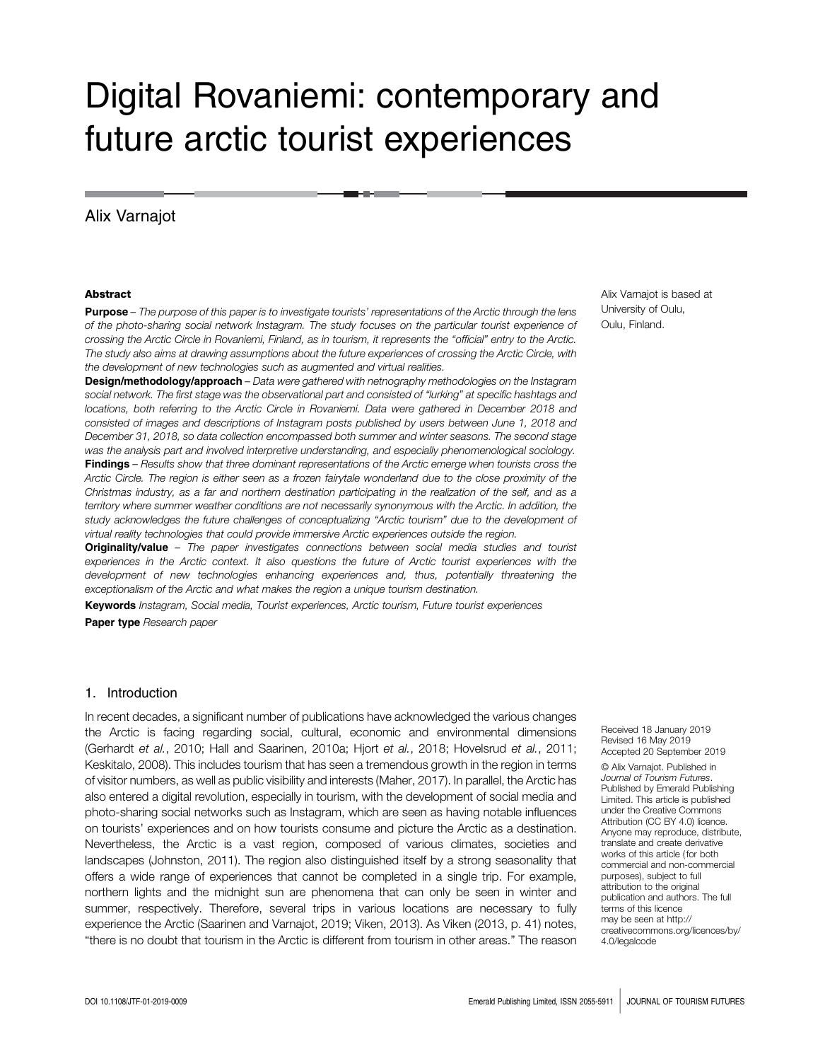# Digital Rovaniemi: contemporary and future arctic tourist experiences

# Alix Varnajot

#### **Abstract**

**Purpose** – The purpose of this paper is to investigate tourists' representations of the Arctic through the lens of the photo-sharing social network Instagram. The study focuses on the particular tourist experience of crossing the Arctic Circle in Rovaniemi, Finland, as in tourism, it represents the "official" entry to the Arctic. The study also aims at drawing assumptions about the future experiences of crossing the Arctic Circle, with the development of new technologies such as augmented and virtual realities.

Design/methodology/approach - Data were gathered with netnography methodologies on the Instagram social network. The first stage was the observational part and consisted of "lurking" at specific hashtags and locations, both referring to the Arctic Circle in Rovaniemi. Data were gathered in December 2018 and consisted of images and descriptions of Instagram posts published by users between June 1, 2018 and December 31, 2018, so data collection encompassed both summer and winter seasons. The second stage was the analysis part and involved interpretive understanding, and especially phenomenological sociology. Findings – Results show that three dominant representations of the Arctic emerge when tourists cross the Arctic Circle. The region is either seen as a frozen fairytale wonderland due to the close proximity of the Christmas industry, as a far and northern destination participating in the realization of the self, and as a territory where summer weather conditions are not necessarily synonymous with the Arctic. In addition, the study acknowledges the future challenges of conceptualizing "Arctic tourism" due to the development of virtual reality technologies that could provide immersive Arctic experiences outside the region.

Originality/value - The paper investigates connections between social media studies and tourist experiences in the Arctic context. It also questions the future of Arctic tourist experiences with the development of new technologies enhancing experiences and, thus, potentially threatening the exceptionalism of the Arctic and what makes the region a unique tourism destination.

Keywords Instagram, Social media, Tourist experiences, Arctic tourism, Future tourist experiences Paper type Research paper

## 1. Introduction

In recent decades, a significant number of publications have acknowledged the various changes the Arctic is facing regarding social, cultural, economic and environmental dimensions (Gerhardt et al., 2010; Hall and Saarinen, 2010a; Hjort et al., 2018; Hovelsrud et al., 2011; Keskitalo, 2008). This includes tourism that has seen a tremendous growth in the region in terms of visitor numbers, as well as public visibility and interests (Maher, 2017). In parallel, the Arctic has also entered a digital revolution, especially in tourism, with the development of social media and photo-sharing social networks such as Instagram, which are seen as having notable influences on tourists' experiences and on how tourists consume and picture the Arctic as a destination. Nevertheless, the Arctic is a vast region, composed of various climates, societies and landscapes (Johnston, 2011). The region also distinguished itself by a strong seasonality that offers a wide range of experiences that cannot be completed in a single trip. For example, northern lights and the midnight sun are phenomena that can only be seen in winter and summer, respectively. Therefore, several trips in various locations are necessary to fully experience the Arctic (Saarinen and Varnajot, 2019; Viken, 2013). As Viken (2013, p. 41) notes, "there is no doubt that tourism in the Arctic is different from tourism in other areas." The reason Alix Varnajot is based at University of Oulu, Oulu, Finland.

Received 18 January 2019 Revised 16 May 2019 Accepted 20 September 2019

© Alix Varnajot. Published in Journal of Tourism Futures. Published by Emerald Publishing Limited. This article is published under the Creative Commons Attribution (CC BY 4.0) licence. Anyone may reproduce, distribute, translate and create derivative works of this article ( for both commercial and non-commercial purposes), subject to full attribution to the original publication and authors. The full terms of this licence may be seen at [http://](http://creativecommons.org/licences/by/4.0/legalcode) [creativecommons.org/licences/by/](http://creativecommons.org/licences/by/4.0/legalcode) [4.0/legalcode](http://creativecommons.org/licences/by/4.0/legalcode)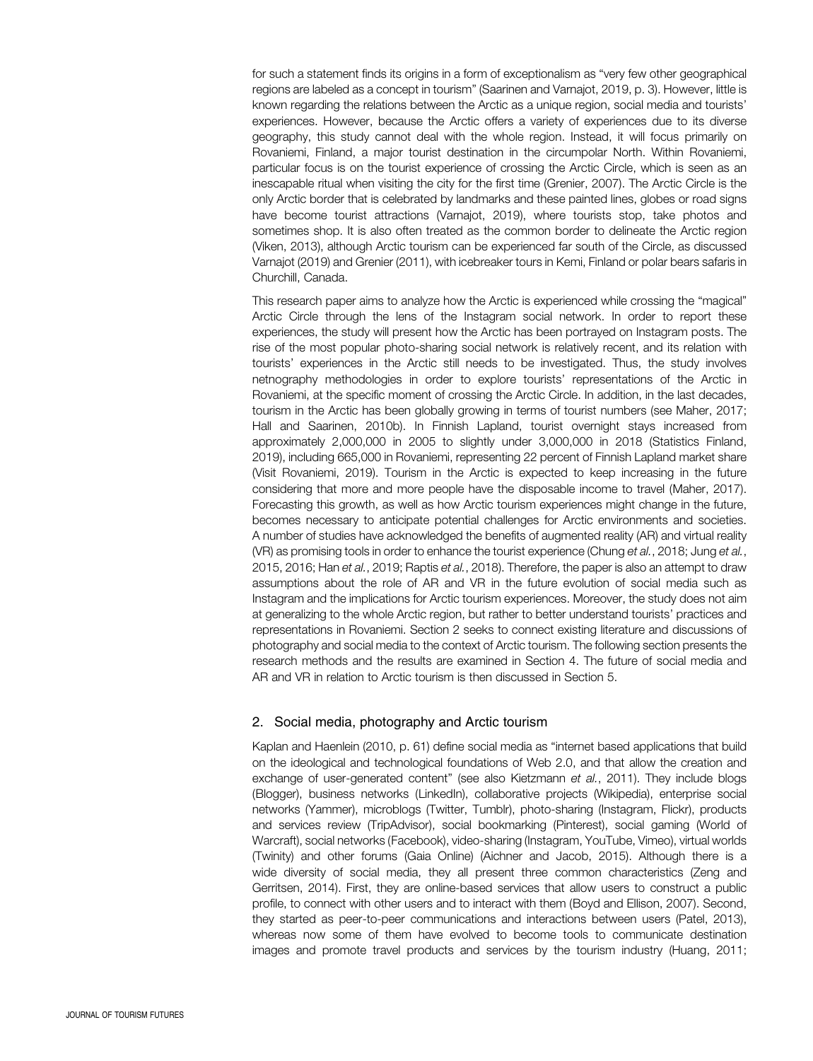for such a statement finds its origins in a form of exceptionalism as "very few other geographical regions are labeled as a concept in tourism" (Saarinen and Varnajot, 2019, p. 3). However, little is known regarding the relations between the Arctic as a unique region, social media and tourists' experiences. However, because the Arctic offers a variety of experiences due to its diverse geography, this study cannot deal with the whole region. Instead, it will focus primarily on Rovaniemi, Finland, a major tourist destination in the circumpolar North. Within Rovaniemi, particular focus is on the tourist experience of crossing the Arctic Circle, which is seen as an inescapable ritual when visiting the city for the first time (Grenier, 2007). The Arctic Circle is the only Arctic border that is celebrated by landmarks and these painted lines, globes or road signs have become tourist attractions (Varnajot, 2019), where tourists stop, take photos and sometimes shop. It is also often treated as the common border to delineate the Arctic region (Viken, 2013), although Arctic tourism can be experienced far south of the Circle, as discussed Varnajot (2019) and Grenier (2011), with icebreaker tours in Kemi, Finland or polar bears safaris in Churchill, Canada.

This research paper aims to analyze how the Arctic is experienced while crossing the "magical" Arctic Circle through the lens of the Instagram social network. In order to report these experiences, the study will present how the Arctic has been portrayed on Instagram posts. The rise of the most popular photo-sharing social network is relatively recent, and its relation with tourists' experiences in the Arctic still needs to be investigated. Thus, the study involves netnography methodologies in order to explore tourists' representations of the Arctic in Rovaniemi, at the specific moment of crossing the Arctic Circle. In addition, in the last decades, tourism in the Arctic has been globally growing in terms of tourist numbers (see Maher, 2017; Hall and Saarinen, 2010b). In Finnish Lapland, tourist overnight stays increased from approximately 2,000,000 in 2005 to slightly under 3,000,000 in 2018 (Statistics Finland, 2019), including 665,000 in Rovaniemi, representing 22 percent of Finnish Lapland market share (Visit Rovaniemi, 2019). Tourism in the Arctic is expected to keep increasing in the future considering that more and more people have the disposable income to travel (Maher, 2017). Forecasting this growth, as well as how Arctic tourism experiences might change in the future, becomes necessary to anticipate potential challenges for Arctic environments and societies. A number of studies have acknowledged the benefits of augmented reality (AR) and virtual reality (VR) as promising tools in order to enhance the tourist experience (Chung et al., 2018; Jung et al., 2015, 2016; Han et al., 2019; Raptis et al., 2018). Therefore, the paper is also an attempt to draw assumptions about the role of AR and VR in the future evolution of social media such as Instagram and the implications for Arctic tourism experiences. Moreover, the study does not aim at generalizing to the whole Arctic region, but rather to better understand tourists' practices and representations in Rovaniemi. Section 2 seeks to connect existing literature and discussions of photography and social media to the context of Arctic tourism. The following section presents the research methods and the results are examined in Section 4. The future of social media and AR and VR in relation to Arctic tourism is then discussed in Section 5.

### 2. Social media, photography and Arctic tourism

Kaplan and Haenlein (2010, p. 61) define social media as "internet based applications that build on the ideological and technological foundations of Web 2.0, and that allow the creation and exchange of user-generated content" (see also Kietzmann et al., 2011). They include blogs (Blogger), business networks (LinkedIn), collaborative projects (Wikipedia), enterprise social networks (Yammer), microblogs (Twitter, Tumblr), photo-sharing (Instagram, Flickr), products and services review (TripAdvisor), social bookmarking (Pinterest), social gaming (World of Warcraft), social networks (Facebook), video-sharing (Instagram, YouTube, Vimeo), virtual worlds (Twinity) and other forums (Gaia Online) (Aichner and Jacob, 2015). Although there is a wide diversity of social media, they all present three common characteristics (Zeng and Gerritsen, 2014). First, they are online-based services that allow users to construct a public profile, to connect with other users and to interact with them (Boyd and Ellison, 2007). Second, they started as peer-to-peer communications and interactions between users (Patel, 2013), whereas now some of them have evolved to become tools to communicate destination images and promote travel products and services by the tourism industry (Huang, 2011;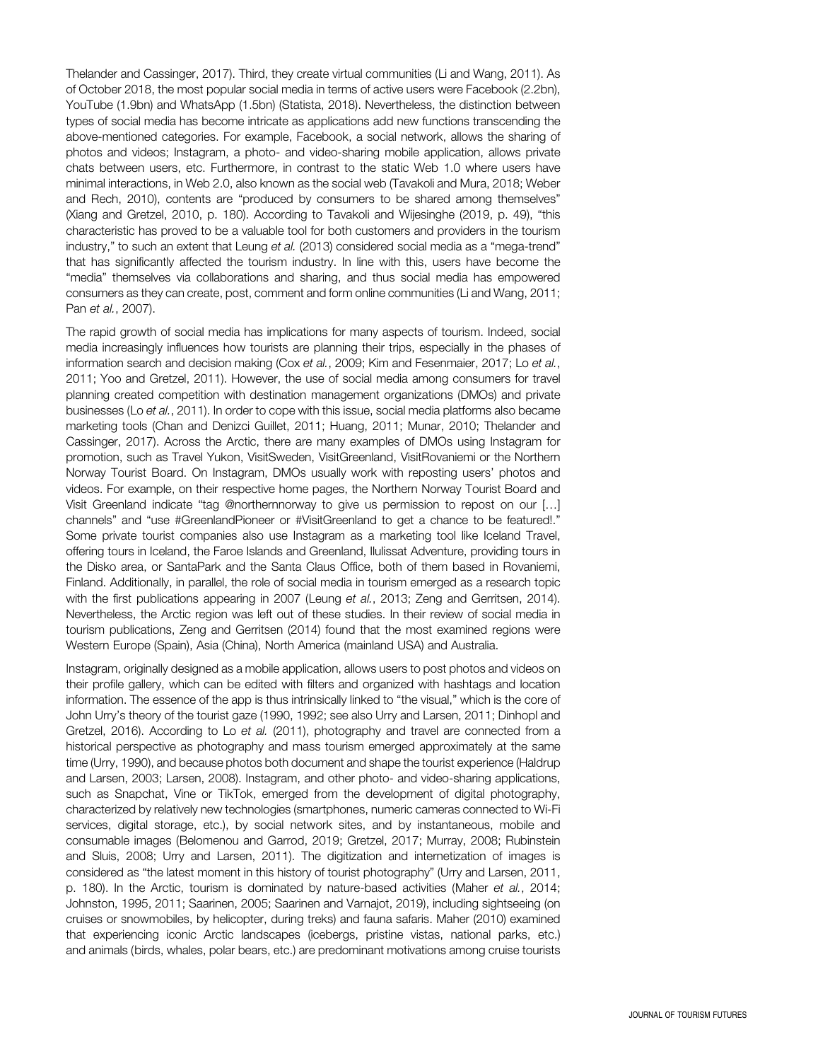Thelander and Cassinger, 2017). Third, they create virtual communities (Li and Wang, 2011). As of October 2018, the most popular social media in terms of active users were Facebook (2.2bn), YouTube (1.9bn) and WhatsApp (1.5bn) (Statista, 2018). Nevertheless, the distinction between types of social media has become intricate as applications add new functions transcending the above-mentioned categories. For example, Facebook, a social network, allows the sharing of photos and videos; Instagram, a photo- and video-sharing mobile application, allows private chats between users, etc. Furthermore, in contrast to the static Web 1.0 where users have minimal interactions, in Web 2.0, also known as the social web (Tavakoli and Mura, 2018; Weber and Rech, 2010), contents are "produced by consumers to be shared among themselves" (Xiang and Gretzel, 2010, p. 180). According to Tavakoli and Wijesinghe (2019, p. 49), "this characteristic has proved to be a valuable tool for both customers and providers in the tourism industry," to such an extent that Leung et al. (2013) considered social media as a "mega-trend" that has significantly affected the tourism industry. In line with this, users have become the "media" themselves via collaborations and sharing, and thus social media has empowered consumers as they can create, post, comment and form online communities (Li and Wang, 2011; Pan et al., 2007).

The rapid growth of social media has implications for many aspects of tourism. Indeed, social media increasingly influences how tourists are planning their trips, especially in the phases of information search and decision making (Cox et al., 2009; Kim and Fesenmaier, 2017; Lo et al., 2011; Yoo and Gretzel, 2011). However, the use of social media among consumers for travel planning created competition with destination management organizations (DMOs) and private businesses (Lo et al., 2011). In order to cope with this issue, social media platforms also became marketing tools (Chan and Denizci Guillet, 2011; Huang, 2011; Munar, 2010; Thelander and Cassinger, 2017). Across the Arctic, there are many examples of DMOs using Instagram for promotion, such as Travel Yukon, VisitSweden, VisitGreenland, VisitRovaniemi or the Northern Norway Tourist Board. On Instagram, DMOs usually work with reposting users' photos and videos. For example, on their respective home pages, the Northern Norway Tourist Board and Visit Greenland indicate "tag @northernnorway to give us permission to repost on our […] channels" and "use #GreenlandPioneer or #VisitGreenland to get a chance to be featured!." Some private tourist companies also use Instagram as a marketing tool like Iceland Travel, offering tours in Iceland, the Faroe Islands and Greenland, Ilulissat Adventure, providing tours in the Disko area, or SantaPark and the Santa Claus Office, both of them based in Rovaniemi, Finland. Additionally, in parallel, the role of social media in tourism emerged as a research topic with the first publications appearing in 2007 (Leung et al., 2013; Zeng and Gerritsen, 2014). Nevertheless, the Arctic region was left out of these studies. In their review of social media in tourism publications, Zeng and Gerritsen (2014) found that the most examined regions were Western Europe (Spain), Asia (China), North America (mainland USA) and Australia.

Instagram, originally designed as a mobile application, allows users to post photos and videos on their profile gallery, which can be edited with filters and organized with hashtags and location information. The essence of the app is thus intrinsically linked to "the visual," which is the core of John Urry's theory of the tourist gaze (1990, 1992; see also Urry and Larsen, 2011; Dinhopl and Gretzel, 2016). According to Lo et al. (2011), photography and travel are connected from a historical perspective as photography and mass tourism emerged approximately at the same time (Urry, 1990), and because photos both document and shape the tourist experience (Haldrup and Larsen, 2003; Larsen, 2008). Instagram, and other photo- and video-sharing applications, such as Snapchat, Vine or TikTok, emerged from the development of digital photography, characterized by relatively new technologies (smartphones, numeric cameras connected to Wi-Fi services, digital storage, etc.), by social network sites, and by instantaneous, mobile and consumable images (Belomenou and Garrod, 2019; Gretzel, 2017; Murray, 2008; Rubinstein and Sluis, 2008; Urry and Larsen, 2011). The digitization and internetization of images is considered as "the latest moment in this history of tourist photography" (Urry and Larsen, 2011, p. 180). In the Arctic, tourism is dominated by nature-based activities (Maher et al., 2014; Johnston, 1995, 2011; Saarinen, 2005; Saarinen and Varnajot, 2019), including sightseeing (on cruises or snowmobiles, by helicopter, during treks) and fauna safaris. Maher (2010) examined that experiencing iconic Arctic landscapes (icebergs, pristine vistas, national parks, etc.) and animals (birds, whales, polar bears, etc.) are predominant motivations among cruise tourists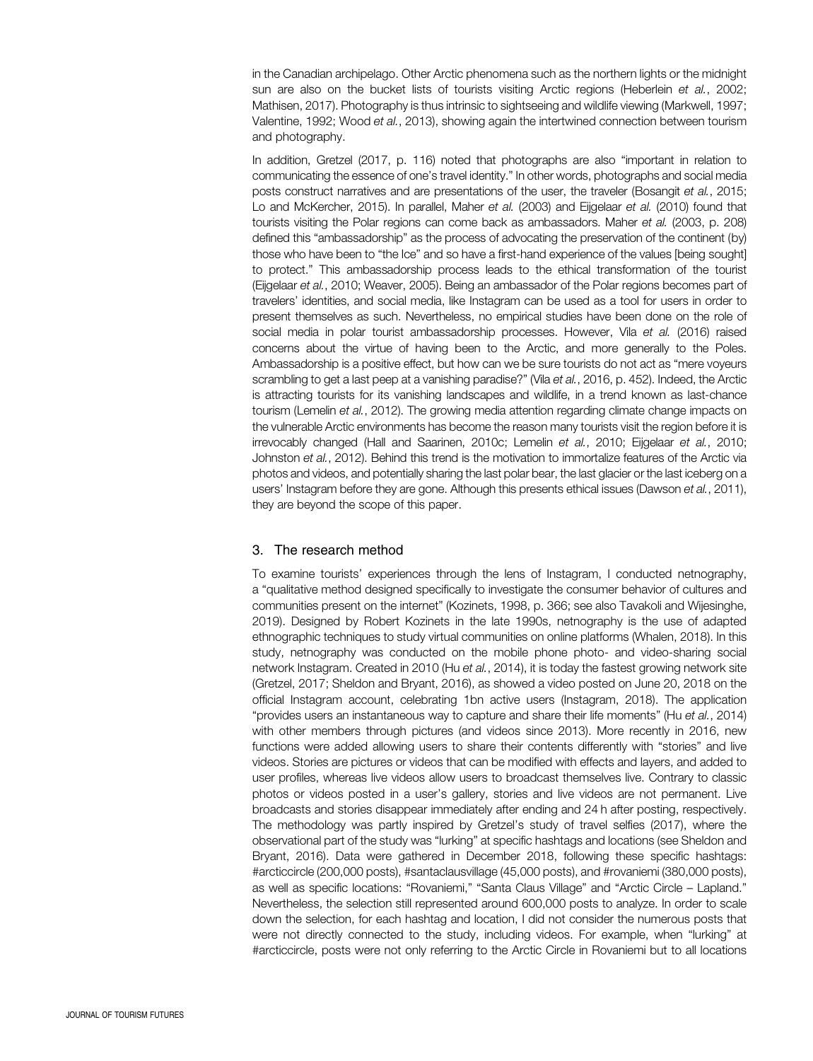in the Canadian archipelago. Other Arctic phenomena such as the northern lights or the midnight sun are also on the bucket lists of tourists visiting Arctic regions (Heberlein et al., 2002; Mathisen, 2017). Photography is thus intrinsic to sightseeing and wildlife viewing (Markwell, 1997; Valentine, 1992; Wood et al., 2013), showing again the intertwined connection between tourism and photography.

In addition, Gretzel (2017, p. 116) noted that photographs are also "important in relation to communicating the essence of one's travel identity." In other words, photographs and social media posts construct narratives and are presentations of the user, the traveler (Bosangit et al., 2015; Lo and McKercher, 2015). In parallel, Maher et al. (2003) and Eijgelaar et al. (2010) found that tourists visiting the Polar regions can come back as ambassadors. Maher et al. (2003, p. 208) defined this "ambassadorship" as the process of advocating the preservation of the continent (by) those who have been to "the Ice" and so have a first-hand experience of the values [being sought] to protect." This ambassadorship process leads to the ethical transformation of the tourist (Eijgelaar et al., 2010; Weaver, 2005). Being an ambassador of the Polar regions becomes part of travelers' identities, and social media, like Instagram can be used as a tool for users in order to present themselves as such. Nevertheless, no empirical studies have been done on the role of social media in polar tourist ambassadorship processes. However, Vila et al. (2016) raised concerns about the virtue of having been to the Arctic, and more generally to the Poles. Ambassadorship is a positive effect, but how can we be sure tourists do not act as "mere voyeurs scrambling to get a last peep at a vanishing paradise?" (Vila et al., 2016, p. 452). Indeed, the Arctic is attracting tourists for its vanishing landscapes and wildlife, in a trend known as last-chance tourism (Lemelin et al., 2012). The growing media attention regarding climate change impacts on the vulnerable Arctic environments has become the reason many tourists visit the region before it is irrevocably changed (Hall and Saarinen, 2010c; Lemelin et al., 2010; Eijgelaar et al., 2010; Johnston et al., 2012). Behind this trend is the motivation to immortalize features of the Arctic via photos and videos, and potentially sharing the last polar bear, the last glacier or the last iceberg on a users' Instagram before they are gone. Although this presents ethical issues (Dawson et al., 2011), they are beyond the scope of this paper.

# 3. The research method

To examine tourists' experiences through the lens of Instagram, I conducted netnography, a "qualitative method designed specifically to investigate the consumer behavior of cultures and communities present on the internet" (Kozinets, 1998, p. 366; see also Tavakoli and Wijesinghe, 2019). Designed by Robert Kozinets in the late 1990s, netnography is the use of adapted ethnographic techniques to study virtual communities on online platforms (Whalen, 2018). In this study, netnography was conducted on the mobile phone photo- and video-sharing social network Instagram. Created in 2010 (Hu et al., 2014), it is today the fastest growing network site (Gretzel, 2017; Sheldon and Bryant, 2016), as showed a video posted on June 20, 2018 on the official Instagram account, celebrating 1bn active users (Instagram, 2018). The application "provides users an instantaneous way to capture and share their life moments" (Hu et al., 2014) with other members through pictures (and videos since 2013). More recently in 2016, new functions were added allowing users to share their contents differently with "stories" and live videos. Stories are pictures or videos that can be modified with effects and layers, and added to user profiles, whereas live videos allow users to broadcast themselves live. Contrary to classic photos or videos posted in a user's gallery, stories and live videos are not permanent. Live broadcasts and stories disappear immediately after ending and 24 h after posting, respectively. The methodology was partly inspired by Gretzel's study of travel selfies (2017), where the observational part of the study was "lurking" at specific hashtags and locations (see Sheldon and Bryant, 2016). Data were gathered in December 2018, following these specific hashtags: #arcticcircle (200,000 posts), #santaclausvillage (45,000 posts), and #rovaniemi (380,000 posts), as well as specific locations: "Rovaniemi," "Santa Claus Village" and "Arctic Circle – Lapland." Nevertheless, the selection still represented around 600,000 posts to analyze. In order to scale down the selection, for each hashtag and location, I did not consider the numerous posts that were not directly connected to the study, including videos. For example, when "lurking" at #arcticcircle, posts were not only referring to the Arctic Circle in Rovaniemi but to all locations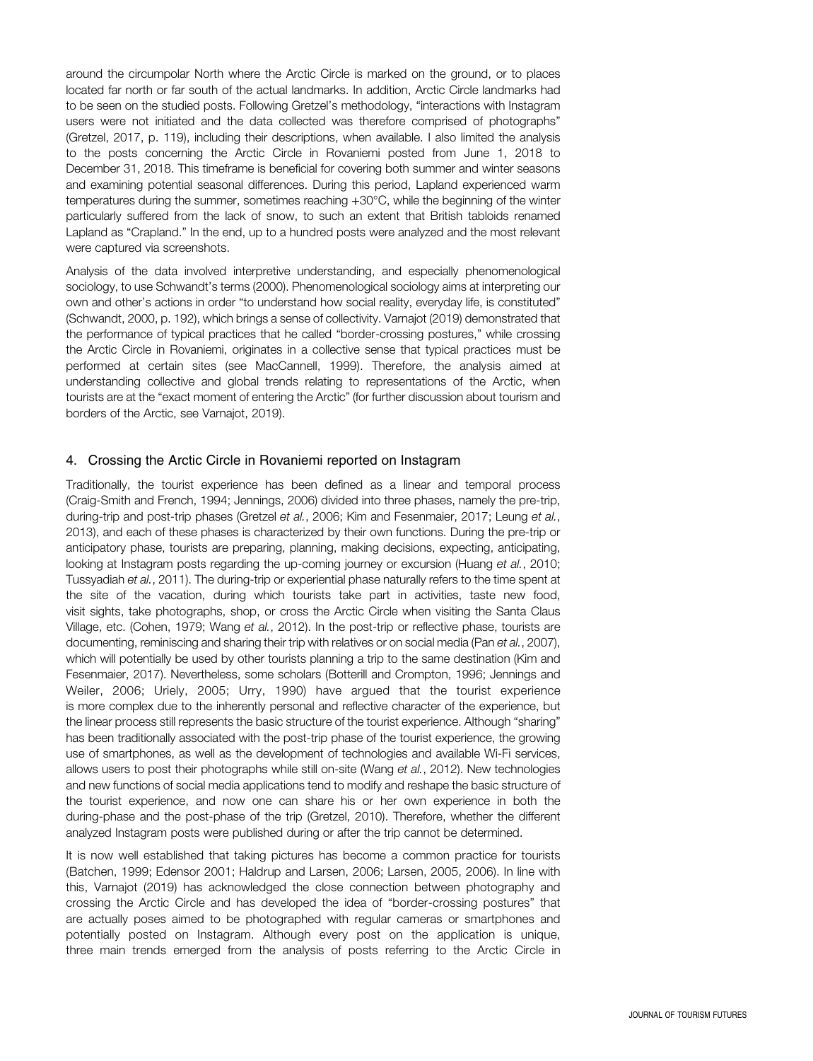around the circumpolar North where the Arctic Circle is marked on the ground, or to places located far north or far south of the actual landmarks. In addition, Arctic Circle landmarks had to be seen on the studied posts. Following Gretzel's methodology, "interactions with Instagram users were not initiated and the data collected was therefore comprised of photographs" (Gretzel, 2017, p. 119), including their descriptions, when available. I also limited the analysis to the posts concerning the Arctic Circle in Rovaniemi posted from June 1, 2018 to December 31, 2018. This timeframe is beneficial for covering both summer and winter seasons and examining potential seasonal differences. During this period, Lapland experienced warm temperatures during the summer, sometimes reaching +30°C, while the beginning of the winter particularly suffered from the lack of snow, to such an extent that British tabloids renamed Lapland as "Crapland." In the end, up to a hundred posts were analyzed and the most relevant were captured via screenshots.

Analysis of the data involved interpretive understanding, and especially phenomenological sociology, to use Schwandt's terms (2000). Phenomenological sociology aims at interpreting our own and other's actions in order "to understand how social reality, everyday life, is constituted" (Schwandt, 2000, p. 192), which brings a sense of collectivity. Varnajot (2019) demonstrated that the performance of typical practices that he called "border-crossing postures," while crossing the Arctic Circle in Rovaniemi, originates in a collective sense that typical practices must be performed at certain sites (see MacCannell, 1999). Therefore, the analysis aimed at understanding collective and global trends relating to representations of the Arctic, when tourists are at the "exact moment of entering the Arctic" (for further discussion about tourism and borders of the Arctic, see Varnajot, 2019).

## 4. Crossing the Arctic Circle in Rovaniemi reported on Instagram

Traditionally, the tourist experience has been defined as a linear and temporal process (Craig-Smith and French, 1994; Jennings, 2006) divided into three phases, namely the pre-trip, during-trip and post-trip phases (Gretzel et al., 2006; Kim and Fesenmaier, 2017; Leung et al., 2013), and each of these phases is characterized by their own functions. During the pre-trip or anticipatory phase, tourists are preparing, planning, making decisions, expecting, anticipating, looking at Instagram posts regarding the up-coming journey or excursion (Huang et al., 2010; Tussyadiah et al., 2011). The during-trip or experiential phase naturally refers to the time spent at the site of the vacation, during which tourists take part in activities, taste new food, visit sights, take photographs, shop, or cross the Arctic Circle when visiting the Santa Claus Village, etc. (Cohen, 1979; Wang et al., 2012). In the post-trip or reflective phase, tourists are documenting, reminiscing and sharing their trip with relatives or on social media (Pan et al., 2007), which will potentially be used by other tourists planning a trip to the same destination (Kim and Fesenmaier, 2017). Nevertheless, some scholars (Botterill and Crompton, 1996; Jennings and Weiler, 2006; Uriely, 2005; Urry, 1990) have argued that the tourist experience is more complex due to the inherently personal and reflective character of the experience, but the linear process still represents the basic structure of the tourist experience. Although "sharing" has been traditionally associated with the post-trip phase of the tourist experience, the growing use of smartphones, as well as the development of technologies and available Wi-Fi services, allows users to post their photographs while still on-site (Wang et al., 2012). New technologies and new functions of social media applications tend to modify and reshape the basic structure of the tourist experience, and now one can share his or her own experience in both the during-phase and the post-phase of the trip (Gretzel, 2010). Therefore, whether the different analyzed Instagram posts were published during or after the trip cannot be determined.

It is now well established that taking pictures has become a common practice for tourists (Batchen, 1999; Edensor 2001; Haldrup and Larsen, 2006; Larsen, 2005, 2006). In line with this, Varnajot (2019) has acknowledged the close connection between photography and crossing the Arctic Circle and has developed the idea of "border-crossing postures" that are actually poses aimed to be photographed with regular cameras or smartphones and potentially posted on Instagram. Although every post on the application is unique, three main trends emerged from the analysis of posts referring to the Arctic Circle in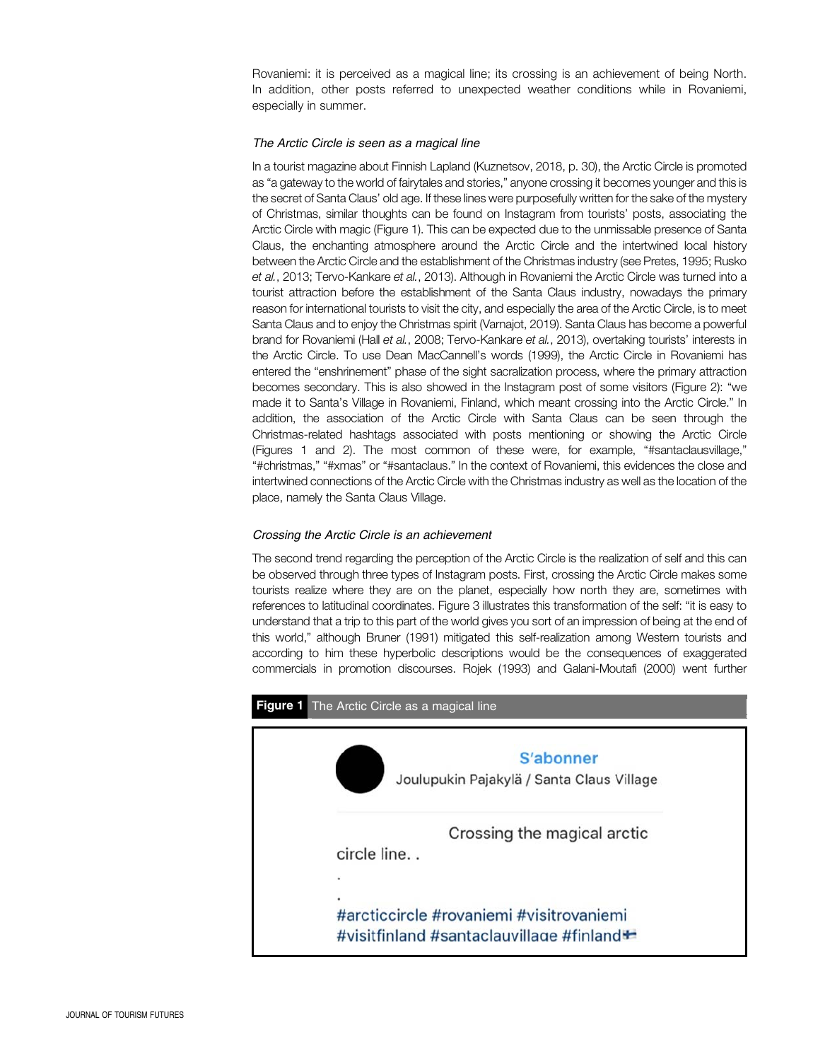Rovaniemi: it is perceived as a magical line; its crossing is an achievement of being North. In addition, other posts referred to unexpected weather conditions while in Rovaniemi, especially in summer.

#### The Arctic Circle is seen as a magical line

In a tourist magazine about Finnish Lapland (Kuznetsov, 2018, p. 30), the Arctic Circle is promoted as "a gateway to the world of fairytales and stories," anyone crossing it becomes younger and this is the secret of Santa Claus' old age. If these lines were purposefully written for the sake of the mystery of Christmas, similar thoughts can be found on Instagram from tourists' posts, associating the Arctic Circle with magic (Figure 1). This can be expected due to the unmissable presence of Santa Claus, the enchanting atmosphere around the Arctic Circle and the intertwined local history between the Arctic Circle and the establishment of the Christmas industry (see Pretes, 1995; Rusko et al., 2013; Tervo-Kankare et al., 2013). Although in Rovaniemi the Arctic Circle was turned into a tourist attraction before the establishment of the Santa Claus industry, nowadays the primary reason for international tourists to visit the city, and especially the area of the Arctic Circle, is to meet Santa Claus and to enjoy the Christmas spirit (Varnajot, 2019). Santa Claus has become a powerful brand for Rovaniemi (Hall et al., 2008; Tervo-Kankare et al., 2013), overtaking tourists' interests in the Arctic Circle. To use Dean MacCannell's words (1999), the Arctic Circle in Rovaniemi has entered the "enshrinement" phase of the sight sacralization process, where the primary attraction becomes secondary. This is also showed in the Instagram post of some visitors (Figure 2): "we made it to Santa's Village in Rovaniemi, Finland, which meant crossing into the Arctic Circle." In addition, the association of the Arctic Circle with Santa Claus can be seen through the Christmas-related hashtags associated with posts mentioning or showing the Arctic Circle (Figures 1 and 2). The most common of these were, for example, "#santaclausvillage," "#christmas," "#xmas" or "#santaclaus." In the context of Rovaniemi, this evidences the close and intertwined connections of the Arctic Circle with the Christmas industry as well as the location of the place, namely the Santa Claus Village.

## Crossing the Arctic Circle is an achievement

The second trend regarding the perception of the Arctic Circle is the realization of self and this can be observed through three types of Instagram posts. First, crossing the Arctic Circle makes some tourists realize where they are on the planet, especially how north they are, sometimes with references to latitudinal coordinates. Figure 3 illustrates this transformation of the self: "it is easy to understand that a trip to this part of the world gives you sort of an impression of being at the end of this world," although Bruner (1991) mitigated this self-realization among Western tourists and according to him these hyperbolic descriptions would be the consequences of exaggerated commercials in promotion discourses. Rojek (1993) and Galani-Moutafi (2000) went further

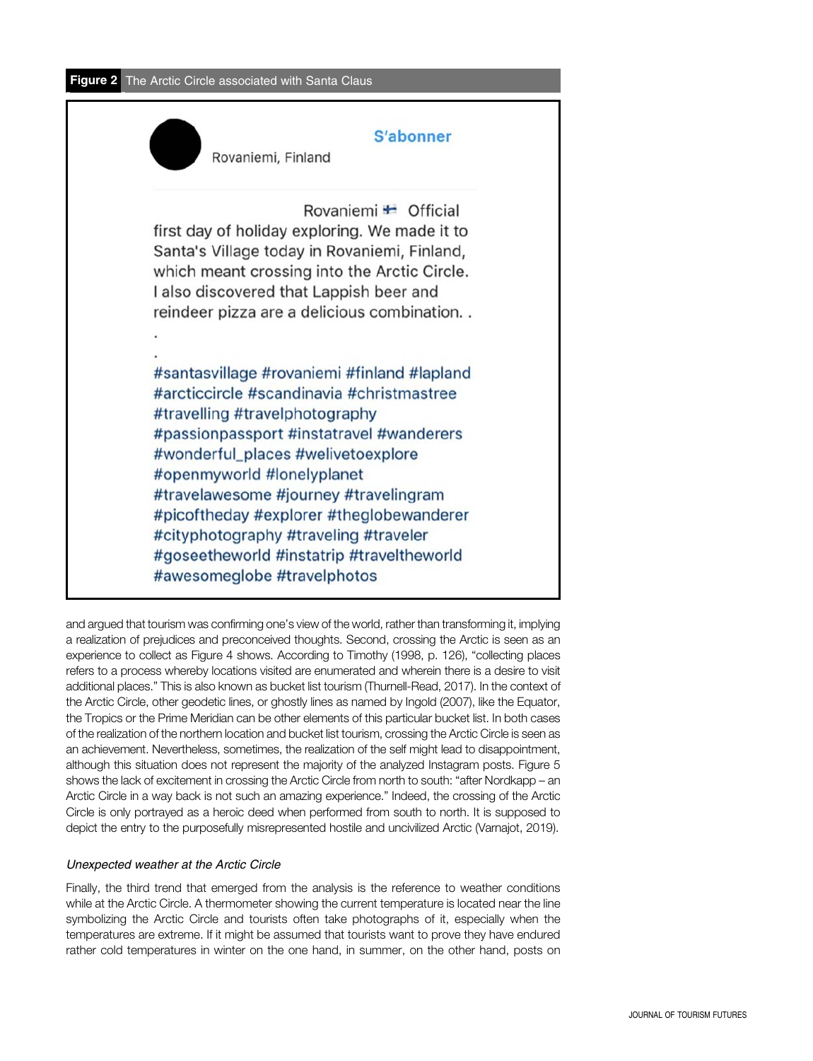Figure 2 The Arctic Circle associated with Santa Claus



and argued that tourism was confirming one's view of the world, rather than transforming it, implying a realization of prejudices and preconceived thoughts. Second, crossing the Arctic is seen as an experience to collect as Figure 4 shows. According to Timothy (1998, p. 126), "collecting places refers to a process whereby locations visited are enumerated and wherein there is a desire to visit additional places." This is also known as bucket list tourism (Thurnell-Read, 2017). In the context of the Arctic Circle, other geodetic lines, or ghostly lines as named by Ingold (2007), like the Equator, the Tropics or the Prime Meridian can be other elements of this particular bucket list. In both cases of the realization of the northern location and bucket list tourism, crossing the Arctic Circle is seen as an achievement. Nevertheless, sometimes, the realization of the self might lead to disappointment, although this situation does not represent the majority of the analyzed Instagram posts. Figure 5 shows the lack of excitement in crossing the Arctic Circle from north to south: "after Nordkapp – an Arctic Circle in a way back is not such an amazing experience." Indeed, the crossing of the Arctic Circle is only portrayed as a heroic deed when performed from south to north. It is supposed to depict the entry to the purposefully misrepresented hostile and uncivilized Arctic (Varnajot, 2019).

# Unexpected weather at the Arctic Circle

Finally, the third trend that emerged from the analysis is the reference to weather conditions while at the Arctic Circle. A thermometer showing the current temperature is located near the line symbolizing the Arctic Circle and tourists often take photographs of it, especially when the temperatures are extreme. If it might be assumed that tourists want to prove they have endured rather cold temperatures in winter on the one hand, in summer, on the other hand, posts on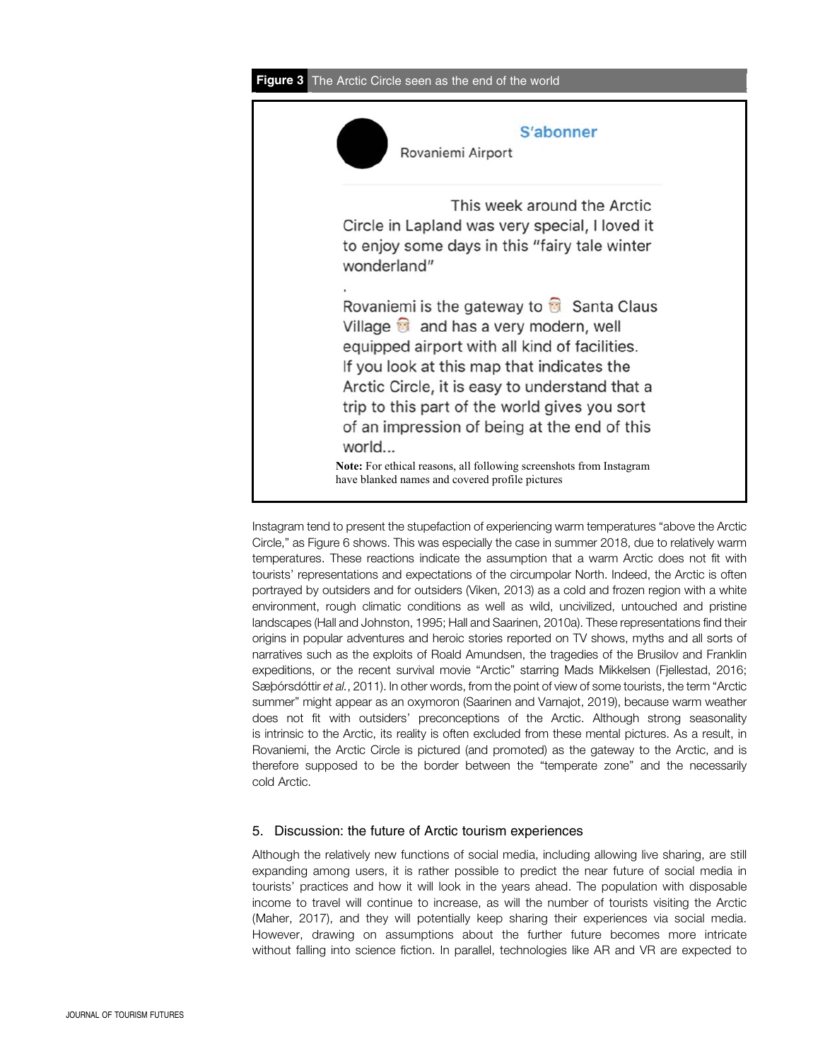

Instagram tend to present the stupefaction of experiencing warm temperatures "above the Arctic Circle," as Figure 6 shows. This was especially the case in summer 2018, due to relatively warm temperatures. These reactions indicate the assumption that a warm Arctic does not fit with tourists' representations and expectations of the circumpolar North. Indeed, the Arctic is often portrayed by outsiders and for outsiders (Viken, 2013) as a cold and frozen region with a white environment, rough climatic conditions as well as wild, uncivilized, untouched and pristine landscapes (Hall and Johnston, 1995; Hall and Saarinen, 2010a). These representations find their origins in popular adventures and heroic stories reported on TV shows, myths and all sorts of narratives such as the exploits of Roald Amundsen, the tragedies of the Brusilov and Franklin expeditions, or the recent survival movie "Arctic" starring Mads Mikkelsen (Fjellestad, 2016; Sæþórsdóttir et al., 2011). In other words, from the point of view of some tourists, the term "Arctic summer" might appear as an oxymoron (Saarinen and Varnajot, 2019), because warm weather does not fit with outsiders' preconceptions of the Arctic. Although strong seasonality is intrinsic to the Arctic, its reality is often excluded from these mental pictures. As a result, in Rovaniemi, the Arctic Circle is pictured (and promoted) as the gateway to the Arctic, and is therefore supposed to be the border between the "temperate zone" and the necessarily cold Arctic.

# 5. Discussion: the future of Arctic tourism experiences

Although the relatively new functions of social media, including allowing live sharing, are still expanding among users, it is rather possible to predict the near future of social media in tourists' practices and how it will look in the years ahead. The population with disposable income to travel will continue to increase, as will the number of tourists visiting the Arctic (Maher, 2017), and they will potentially keep sharing their experiences via social media. However, drawing on assumptions about the further future becomes more intricate without falling into science fiction. In parallel, technologies like AR and VR are expected to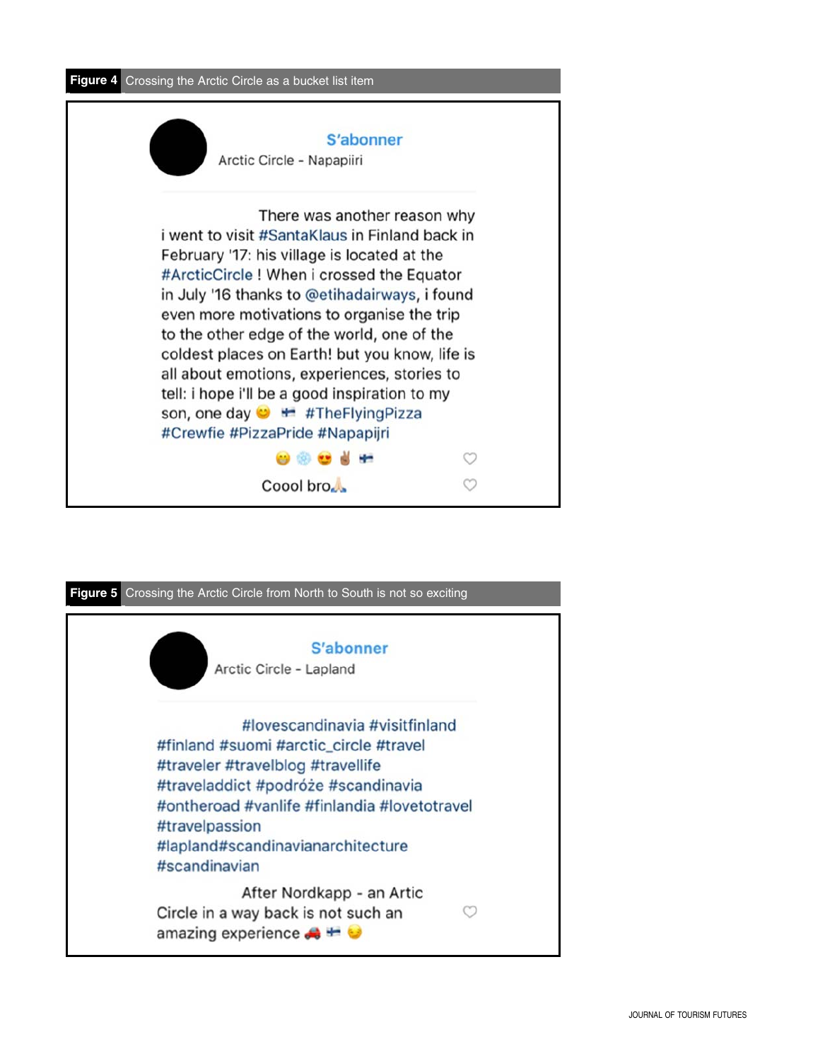

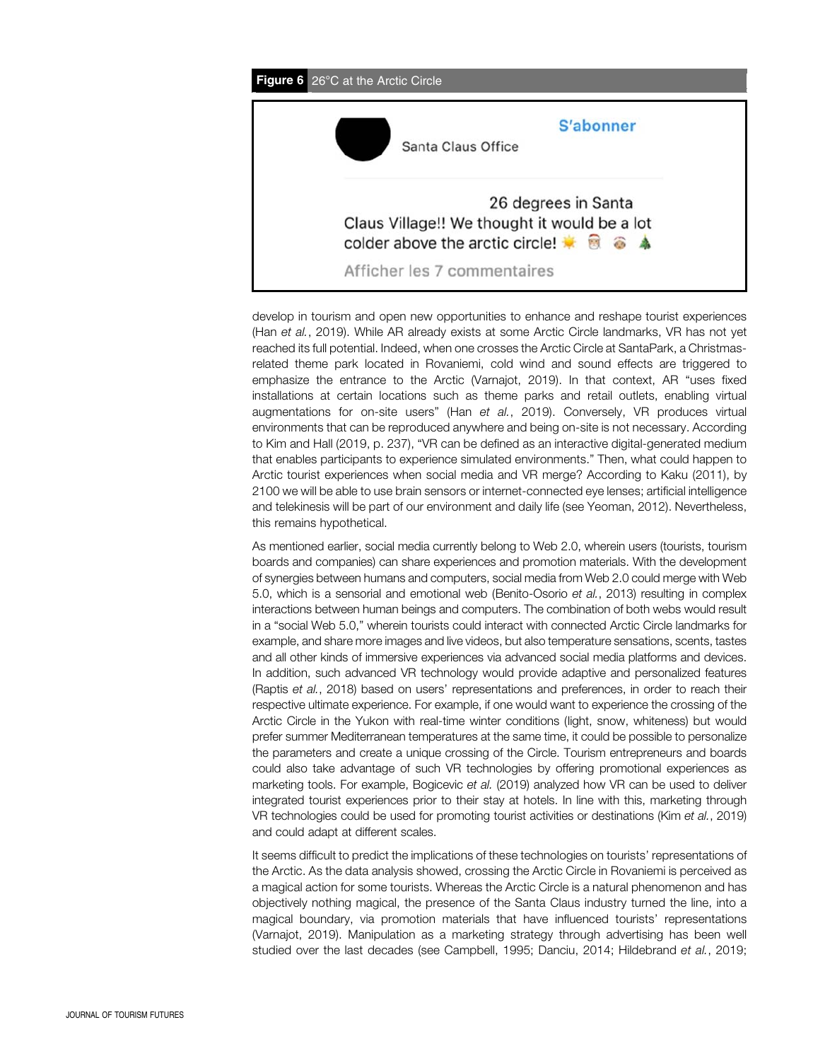

develop in tourism and open new opportunities to enhance and reshape tourist experiences (Han et al., 2019). While AR already exists at some Arctic Circle landmarks, VR has not yet reached its full potential. Indeed, when one crosses the Arctic Circle at SantaPark, a Christmasrelated theme park located in Rovaniemi, cold wind and sound effects are triggered to emphasize the entrance to the Arctic (Varnajot, 2019). In that context, AR "uses fixed installations at certain locations such as theme parks and retail outlets, enabling virtual augmentations for on-site users" (Han et al., 2019). Conversely, VR produces virtual environments that can be reproduced anywhere and being on-site is not necessary. According to Kim and Hall (2019, p. 237), "VR can be defined as an interactive digital-generated medium that enables participants to experience simulated environments." Then, what could happen to Arctic tourist experiences when social media and VR merge? According to Kaku (2011), by 2100 we will be able to use brain sensors or internet-connected eye lenses; artificial intelligence and telekinesis will be part of our environment and daily life (see Yeoman, 2012). Nevertheless, this remains hypothetical.

As mentioned earlier, social media currently belong to Web 2.0, wherein users (tourists, tourism boards and companies) can share experiences and promotion materials. With the development of synergies between humans and computers, social media from Web 2.0 could merge with Web 5.0, which is a sensorial and emotional web (Benito-Osorio et al., 2013) resulting in complex interactions between human beings and computers. The combination of both webs would result in a "social Web 5.0," wherein tourists could interact with connected Arctic Circle landmarks for example, and share more images and live videos, but also temperature sensations, scents, tastes and all other kinds of immersive experiences via advanced social media platforms and devices. In addition, such advanced VR technology would provide adaptive and personalized features (Raptis et al., 2018) based on users' representations and preferences, in order to reach their respective ultimate experience. For example, if one would want to experience the crossing of the Arctic Circle in the Yukon with real-time winter conditions (light, snow, whiteness) but would prefer summer Mediterranean temperatures at the same time, it could be possible to personalize the parameters and create a unique crossing of the Circle. Tourism entrepreneurs and boards could also take advantage of such VR technologies by offering promotional experiences as marketing tools. For example, Bogicevic et al. (2019) analyzed how VR can be used to deliver integrated tourist experiences prior to their stay at hotels. In line with this, marketing through VR technologies could be used for promoting tourist activities or destinations (Kim et al., 2019) and could adapt at different scales.

It seems difficult to predict the implications of these technologies on tourists' representations of the Arctic. As the data analysis showed, crossing the Arctic Circle in Rovaniemi is perceived as a magical action for some tourists. Whereas the Arctic Circle is a natural phenomenon and has objectively nothing magical, the presence of the Santa Claus industry turned the line, into a magical boundary, via promotion materials that have influenced tourists' representations (Varnajot, 2019). Manipulation as a marketing strategy through advertising has been well studied over the last decades (see Campbell, 1995; Danciu, 2014; Hildebrand et al., 2019;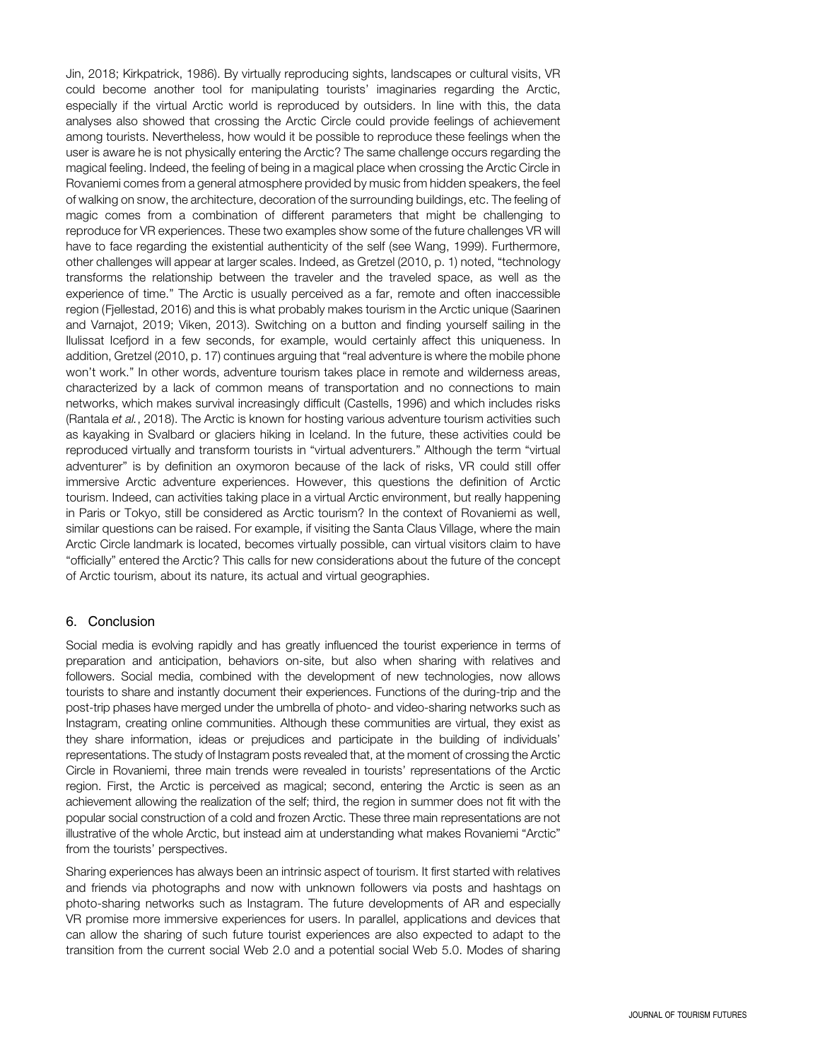Jin, 2018; Kirkpatrick, 1986). By virtually reproducing sights, landscapes or cultural visits, VR could become another tool for manipulating tourists' imaginaries regarding the Arctic, especially if the virtual Arctic world is reproduced by outsiders. In line with this, the data analyses also showed that crossing the Arctic Circle could provide feelings of achievement among tourists. Nevertheless, how would it be possible to reproduce these feelings when the user is aware he is not physically entering the Arctic? The same challenge occurs regarding the magical feeling. Indeed, the feeling of being in a magical place when crossing the Arctic Circle in Rovaniemi comes from a general atmosphere provided by music from hidden speakers, the feel of walking on snow, the architecture, decoration of the surrounding buildings, etc. The feeling of magic comes from a combination of different parameters that might be challenging to reproduce for VR experiences. These two examples show some of the future challenges VR will have to face regarding the existential authenticity of the self (see Wang, 1999). Furthermore, other challenges will appear at larger scales. Indeed, as Gretzel (2010, p. 1) noted, "technology transforms the relationship between the traveler and the traveled space, as well as the experience of time." The Arctic is usually perceived as a far, remote and often inaccessible region (Fjellestad, 2016) and this is what probably makes tourism in the Arctic unique (Saarinen and Varnajot, 2019; Viken, 2013). Switching on a button and finding yourself sailing in the Ilulissat Icefjord in a few seconds, for example, would certainly affect this uniqueness. In addition, Gretzel (2010, p. 17) continues arguing that "real adventure is where the mobile phone won't work." In other words, adventure tourism takes place in remote and wilderness areas, characterized by a lack of common means of transportation and no connections to main networks, which makes survival increasingly difficult (Castells, 1996) and which includes risks (Rantala et al., 2018). The Arctic is known for hosting various adventure tourism activities such as kayaking in Svalbard or glaciers hiking in Iceland. In the future, these activities could be reproduced virtually and transform tourists in "virtual adventurers." Although the term "virtual adventurer" is by definition an oxymoron because of the lack of risks, VR could still offer immersive Arctic adventure experiences. However, this questions the definition of Arctic tourism. Indeed, can activities taking place in a virtual Arctic environment, but really happening in Paris or Tokyo, still be considered as Arctic tourism? In the context of Rovaniemi as well, similar questions can be raised. For example, if visiting the Santa Claus Village, where the main Arctic Circle landmark is located, becomes virtually possible, can virtual visitors claim to have "officially" entered the Arctic? This calls for new considerations about the future of the concept of Arctic tourism, about its nature, its actual and virtual geographies.

## 6. Conclusion

Social media is evolving rapidly and has greatly influenced the tourist experience in terms of preparation and anticipation, behaviors on-site, but also when sharing with relatives and followers. Social media, combined with the development of new technologies, now allows tourists to share and instantly document their experiences. Functions of the during-trip and the post-trip phases have merged under the umbrella of photo- and video-sharing networks such as Instagram, creating online communities. Although these communities are virtual, they exist as they share information, ideas or prejudices and participate in the building of individuals' representations. The study of Instagram posts revealed that, at the moment of crossing the Arctic Circle in Rovaniemi, three main trends were revealed in tourists' representations of the Arctic region. First, the Arctic is perceived as magical; second, entering the Arctic is seen as an achievement allowing the realization of the self; third, the region in summer does not fit with the popular social construction of a cold and frozen Arctic. These three main representations are not illustrative of the whole Arctic, but instead aim at understanding what makes Rovaniemi "Arctic" from the tourists' perspectives.

Sharing experiences has always been an intrinsic aspect of tourism. It first started with relatives and friends via photographs and now with unknown followers via posts and hashtags on photo-sharing networks such as Instagram. The future developments of AR and especially VR promise more immersive experiences for users. In parallel, applications and devices that can allow the sharing of such future tourist experiences are also expected to adapt to the transition from the current social Web 2.0 and a potential social Web 5.0. Modes of sharing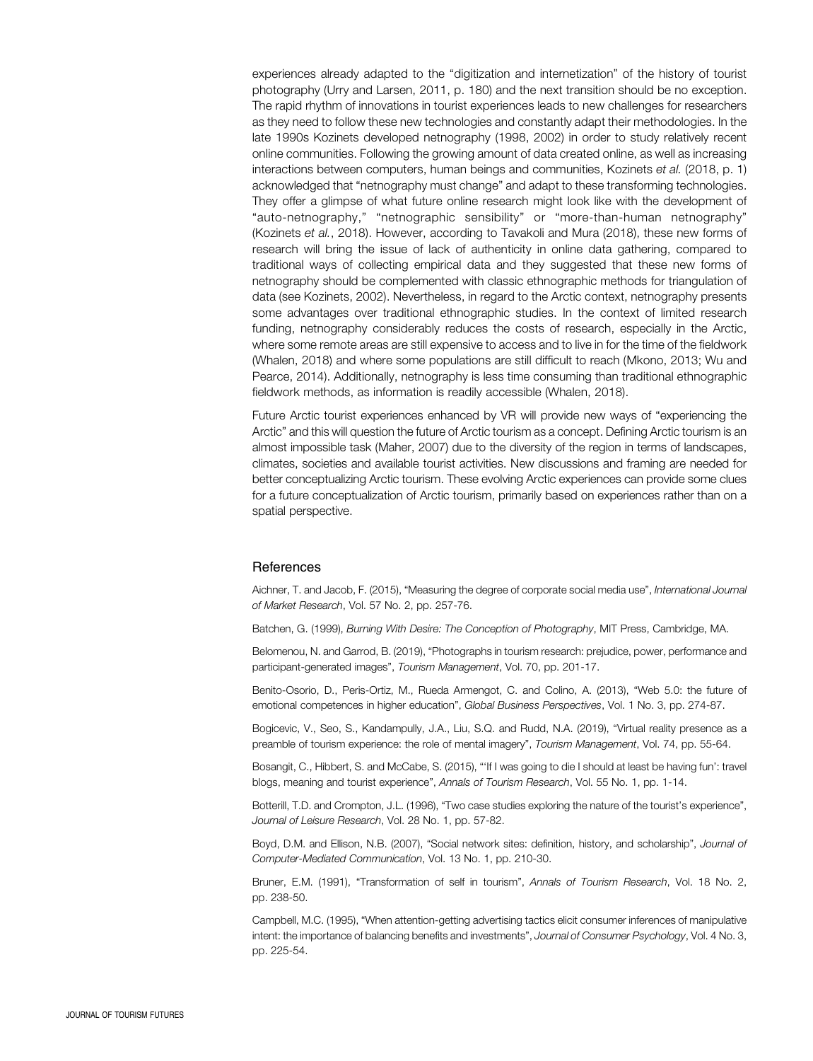experiences already adapted to the "digitization and internetization" of the history of tourist photography (Urry and Larsen, 2011, p. 180) and the next transition should be no exception. The rapid rhythm of innovations in tourist experiences leads to new challenges for researchers as they need to follow these new technologies and constantly adapt their methodologies. In the late 1990s Kozinets developed netnography (1998, 2002) in order to study relatively recent online communities. Following the growing amount of data created online, as well as increasing interactions between computers, human beings and communities, Kozinets et al. (2018, p. 1) acknowledged that "netnography must change" and adapt to these transforming technologies. They offer a glimpse of what future online research might look like with the development of "auto-netnography," "netnographic sensibility" or "more-than-human netnography" (Kozinets et al., 2018). However, according to Tavakoli and Mura (2018), these new forms of research will bring the issue of lack of authenticity in online data gathering, compared to traditional ways of collecting empirical data and they suggested that these new forms of netnography should be complemented with classic ethnographic methods for triangulation of data (see Kozinets, 2002). Nevertheless, in regard to the Arctic context, netnography presents some advantages over traditional ethnographic studies. In the context of limited research funding, netnography considerably reduces the costs of research, especially in the Arctic, where some remote areas are still expensive to access and to live in for the time of the fieldwork (Whalen, 2018) and where some populations are still difficult to reach (Mkono, 2013; Wu and Pearce, 2014). Additionally, netnography is less time consuming than traditional ethnographic fieldwork methods, as information is readily accessible (Whalen, 2018).

Future Arctic tourist experiences enhanced by VR will provide new ways of "experiencing the Arctic" and this will question the future of Arctic tourism as a concept. Defining Arctic tourism is an almost impossible task (Maher, 2007) due to the diversity of the region in terms of landscapes, climates, societies and available tourist activities. New discussions and framing are needed for better conceptualizing Arctic tourism. These evolving Arctic experiences can provide some clues for a future conceptualization of Arctic tourism, primarily based on experiences rather than on a spatial perspective.

#### **References**

Aichner, T. and Jacob, F. (2015), "Measuring the degree of corporate social media use", International Journal of Market Research, Vol. 57 No. 2, pp. 257-76.

Batchen, G. (1999), Burning With Desire: The Conception of Photography, MIT Press, Cambridge, MA.

Belomenou, N. and Garrod, B. (2019), "Photographs in tourism research: prejudice, power, performance and participant-generated images", Tourism Management, Vol. 70, pp. 201-17.

Benito-Osorio, D., Peris-Ortiz, M., Rueda Armengot, C. and Colino, A. (2013), "Web 5.0: the future of emotional competences in higher education", Global Business Perspectives, Vol. 1 No. 3, pp. 274-87.

Bogicevic, V., Seo, S., Kandampully, J.A., Liu, S.Q. and Rudd, N.A. (2019), "Virtual reality presence as a preamble of tourism experience: the role of mental imagery", Tourism Management, Vol. 74, pp. 55-64.

Bosangit, C., Hibbert, S. and McCabe, S. (2015), "'If I was going to die I should at least be having fun': travel blogs, meaning and tourist experience", Annals of Tourism Research, Vol. 55 No. 1, pp. 1-14.

Botterill, T.D. and Crompton, J.L. (1996), "Two case studies exploring the nature of the tourist's experience", Journal of Leisure Research, Vol. 28 No. 1, pp. 57-82.

Boyd, D.M. and Ellison, N.B. (2007), "Social network sites: definition, history, and scholarship", Journal of Computer-Mediated Communication, Vol. 13 No. 1, pp. 210-30.

Bruner, E.M. (1991), "Transformation of self in tourism", Annals of Tourism Research, Vol. 18 No. 2, pp. 238-50.

Campbell, M.C. (1995), "When attention-getting advertising tactics elicit consumer inferences of manipulative intent: the importance of balancing benefits and investments", Journal of Consumer Psychology, Vol. 4 No. 3, pp. 225-54.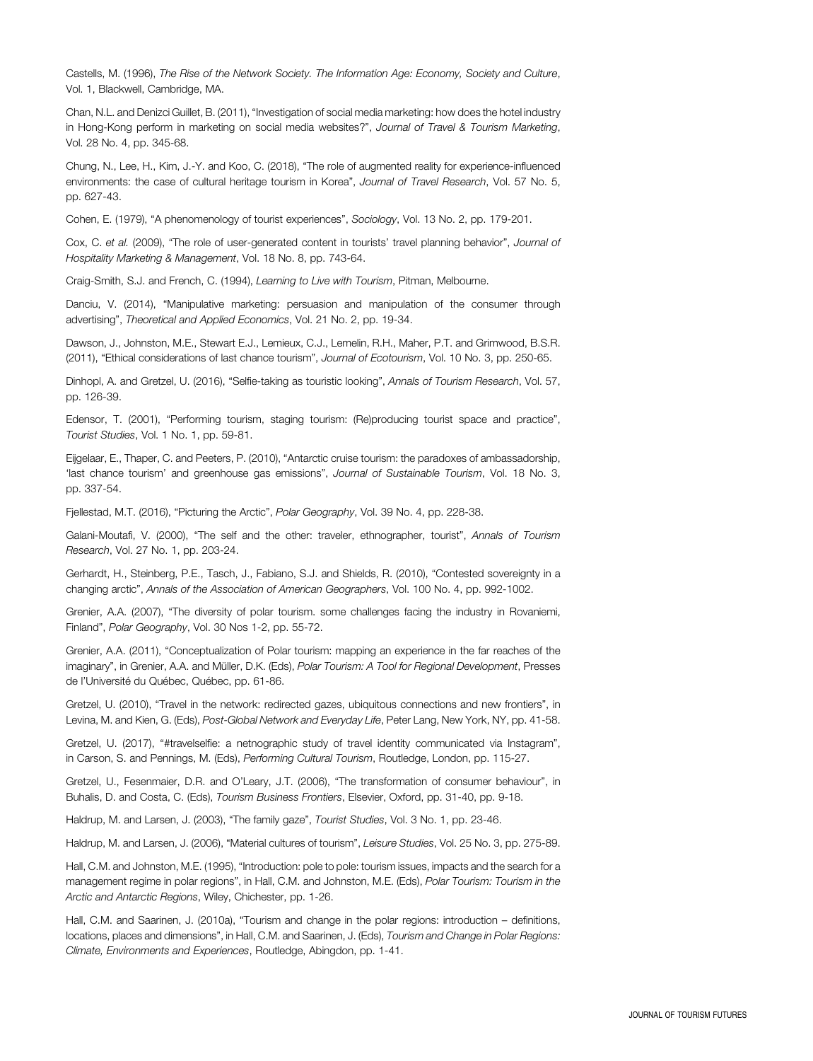Castells, M. (1996), The Rise of the Network Society. The Information Age: Economy, Society and Culture, Vol. 1, Blackwell, Cambridge, MA.

Chan, N.L. and Denizci Guillet, B. (2011), "Investigation of social media marketing: how does the hotel industry in Hong-Kong perform in marketing on social media websites?", Journal of Travel & Tourism Marketing, Vol. 28 No. 4, pp. 345-68.

Chung, N., Lee, H., Kim, J.-Y. and Koo, C. (2018), "The role of augmented reality for experience-influenced environments: the case of cultural heritage tourism in Korea", Journal of Travel Research, Vol. 57 No. 5, pp. 627-43.

Cohen, E. (1979), "A phenomenology of tourist experiences", Sociology, Vol. 13 No. 2, pp. 179-201.

Cox, C. et al. (2009), "The role of user-generated content in tourists' travel planning behavior", Journal of Hospitality Marketing & Management, Vol. 18 No. 8, pp. 743-64.

Craig-Smith, S.J. and French, C. (1994), Learning to Live with Tourism, Pitman, Melbourne.

Danciu, V. (2014), "Manipulative marketing: persuasion and manipulation of the consumer through advertising", Theoretical and Applied Economics, Vol. 21 No. 2, pp. 19-34.

Dawson, J., Johnston, M.E., Stewart E.J., Lemieux, C.J., Lemelin, R.H., Maher, P.T. and Grimwood, B.S.R. (2011), "Ethical considerations of last chance tourism", Journal of Ecotourism, Vol. 10 No. 3, pp. 250-65.

Dinhopl, A. and Gretzel, U. (2016), "Selfie-taking as touristic looking", Annals of Tourism Research, Vol. 57, pp. 126-39.

Edensor, T. (2001), "Performing tourism, staging tourism: (Re)producing tourist space and practice", Tourist Studies, Vol. 1 No. 1, pp. 59-81.

Eijgelaar, E., Thaper, C. and Peeters, P. (2010), "Antarctic cruise tourism: the paradoxes of ambassadorship, 'last chance tourism' and greenhouse gas emissions", Journal of Sustainable Tourism, Vol. 18 No. 3, pp. 337-54.

Fjellestad, M.T. (2016), "Picturing the Arctic", Polar Geography, Vol. 39 No. 4, pp. 228-38.

Galani-Moutafi, V. (2000), "The self and the other: traveler, ethnographer, tourist", Annals of Tourism Research, Vol. 27 No. 1, pp. 203-24.

Gerhardt, H., Steinberg, P.E., Tasch, J., Fabiano, S.J. and Shields, R. (2010), "Contested sovereignty in a changing arctic", Annals of the Association of American Geographers, Vol. 100 No. 4, pp. 992-1002.

Grenier, A.A. (2007), "The diversity of polar tourism. some challenges facing the industry in Rovaniemi, Finland", Polar Geography, Vol. 30 Nos 1-2, pp. 55-72.

Grenier, A.A. (2011), "Conceptualization of Polar tourism: mapping an experience in the far reaches of the imaginary", in Grenier, A.A. and Müller, D.K. (Eds), Polar Tourism: A Tool for Regional Development, Presses de l'Université du Québec, Québec, pp. 61-86.

Gretzel, U. (2010), "Travel in the network: redirected gazes, ubiquitous connections and new frontiers", in Levina, M. and Kien, G. (Eds), Post-Global Network and Everyday Life, Peter Lang, New York, NY, pp. 41-58.

Gretzel, U. (2017), "#travelselfie: a netnographic study of travel identity communicated via Instagram", in Carson, S. and Pennings, M. (Eds), Performing Cultural Tourism, Routledge, London, pp. 115-27.

Gretzel, U., Fesenmaier, D.R. and O'Leary, J.T. (2006), "The transformation of consumer behaviour", in Buhalis, D. and Costa, C. (Eds), Tourism Business Frontiers, Elsevier, Oxford, pp. 31-40, pp. 9-18.

Haldrup, M. and Larsen, J. (2003), "The family gaze", Tourist Studies, Vol. 3 No. 1, pp. 23-46.

Haldrup, M. and Larsen, J. (2006), "Material cultures of tourism", Leisure Studies, Vol. 25 No. 3, pp. 275-89.

Hall, C.M. and Johnston, M.E. (1995), "Introduction: pole to pole: tourism issues, impacts and the search for a management regime in polar regions", in Hall, C.M. and Johnston, M.E. (Eds), Polar Tourism: Tourism in the Arctic and Antarctic Regions, Wiley, Chichester, pp. 1-26.

Hall, C.M. and Saarinen, J. (2010a), "Tourism and change in the polar regions: introduction – definitions, locations, places and dimensions", in Hall, C.M. and Saarinen, J. (Eds), Tourism and Change in Polar Regions: Climate, Environments and Experiences, Routledge, Abingdon, pp. 1-41.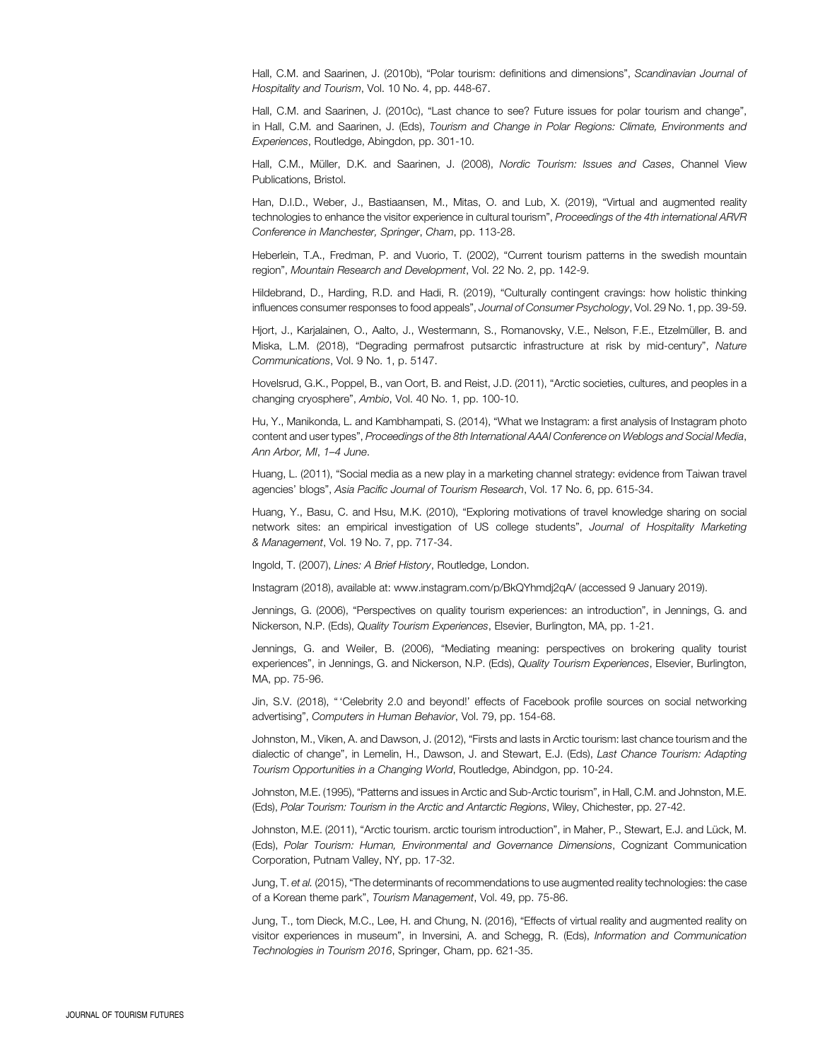Hall, C.M. and Saarinen, J. (2010b), "Polar tourism: definitions and dimensions", Scandinavian Journal of Hospitality and Tourism, Vol. 10 No. 4, pp. 448-67.

Hall, C.M. and Saarinen, J. (2010c), "Last chance to see? Future issues for polar tourism and change", in Hall, C.M. and Saarinen, J. (Eds), Tourism and Change in Polar Regions: Climate, Environments and Experiences, Routledge, Abingdon, pp. 301-10.

Hall, C.M., Müller, D.K. and Saarinen, J. (2008), Nordic Tourism: Issues and Cases, Channel View Publications, Bristol.

Han, D.I.D., Weber, J., Bastiaansen, M., Mitas, O. and Lub, X. (2019), "Virtual and augmented reality technologies to enhance the visitor experience in cultural tourism", Proceedings of the 4th international ARVR Conference in Manchester, Springer, Cham, pp. 113-28.

Heberlein, T.A., Fredman, P. and Vuorio, T. (2002), "Current tourism patterns in the swedish mountain region", Mountain Research and Development, Vol. 22 No. 2, pp. 142-9.

Hildebrand, D., Harding, R.D. and Hadi, R. (2019), "Culturally contingent cravings: how holistic thinking influences consumer responses to food appeals", Journal of Consumer Psychology, Vol. 29 No. 1, pp. 39-59.

Hjort, J., Karjalainen, O., Aalto, J., Westermann, S., Romanovsky, V.E., Nelson, F.E., Etzelmüller, B. and Miska, L.M. (2018), "Degrading permafrost putsarctic infrastructure at risk by mid-century", Nature Communications, Vol. 9 No. 1, p. 5147.

Hovelsrud, G.K., Poppel, B., van Oort, B. and Reist, J.D. (2011), "Arctic societies, cultures, and peoples in a changing cryosphere", Ambio, Vol. 40 No. 1, pp. 100-10.

Hu, Y., Manikonda, L. and Kambhampati, S. (2014), "What we Instagram: a first analysis of Instagram photo content and user types", Proceedings of the 8th International AAAI Conference on Weblogs and Social Media, Ann Arbor, MI, 1–4 June.

Huang, L. (2011), "Social media as a new play in a marketing channel strategy: evidence from Taiwan travel agencies' blogs", Asia Pacific Journal of Tourism Research, Vol. 17 No. 6, pp. 615-34.

Huang, Y., Basu, C. and Hsu, M.K. (2010), "Exploring motivations of travel knowledge sharing on social network sites: an empirical investigation of US college students", Journal of Hospitality Marketing & Management, Vol. 19 No. 7, pp. 717-34.

Ingold, T. (2007), Lines: A Brief History, Routledge, London.

Instagram (2018), available at:<www.instagram.com/p/BkQYhmdj2qA/> (accessed 9 January 2019).

Jennings, G. (2006), "Perspectives on quality tourism experiences: an introduction", in Jennings, G. and Nickerson, N.P. (Eds), Quality Tourism Experiences, Elsevier, Burlington, MA, pp. 1-21.

Jennings, G. and Weiler, B. (2006), "Mediating meaning: perspectives on brokering quality tourist experiences", in Jennings, G. and Nickerson, N.P. (Eds), Quality Tourism Experiences, Elsevier, Burlington, MA, pp. 75-96.

Jin, S.V. (2018), " 'Celebrity 2.0 and beyond!' effects of Facebook profile sources on social networking advertising", Computers in Human Behavior, Vol. 79, pp. 154-68.

Johnston, M., Viken, A. and Dawson, J. (2012), "Firsts and lasts in Arctic tourism: last chance tourism and the dialectic of change", in Lemelin, H., Dawson, J. and Stewart, E.J. (Eds), Last Chance Tourism: Adapting Tourism Opportunities in a Changing World, Routledge, Abindgon, pp. 10-24.

Johnston, M.E. (1995), "Patterns and issues in Arctic and Sub-Arctic tourism", in Hall, C.M. and Johnston, M.E. (Eds), Polar Tourism: Tourism in the Arctic and Antarctic Regions, Wiley, Chichester, pp. 27-42.

Johnston, M.E. (2011), "Arctic tourism. arctic tourism introduction", in Maher, P., Stewart, E.J. and Lück, M. (Eds), Polar Tourism: Human, Environmental and Governance Dimensions, Cognizant Communication Corporation, Putnam Valley, NY, pp. 17-32.

Jung, T. et al. (2015), "The determinants of recommendations to use augmented reality technologies: the case of a Korean theme park", Tourism Management, Vol. 49, pp. 75-86.

Jung, T., tom Dieck, M.C., Lee, H. and Chung, N. (2016), "Effects of virtual reality and augmented reality on visitor experiences in museum", in Inversini, A. and Schegg, R. (Eds), Information and Communication Technologies in Tourism 2016, Springer, Cham, pp. 621-35.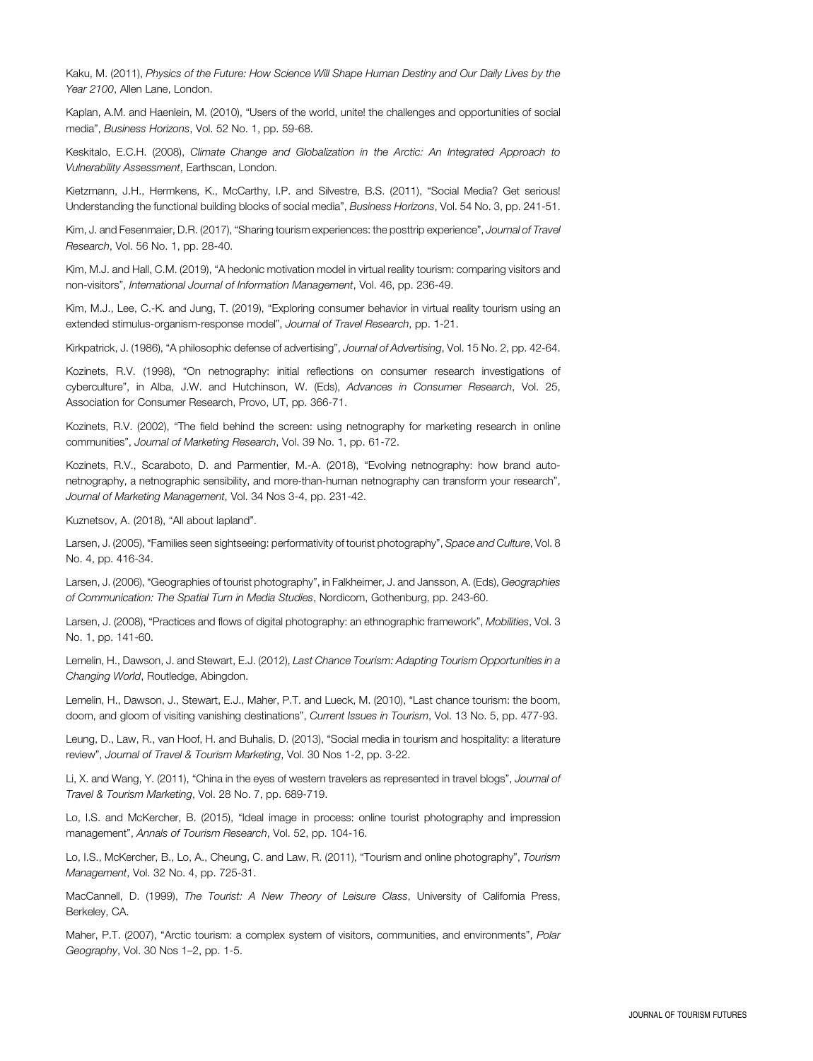Kaku, M. (2011), Physics of the Future: How Science Will Shape Human Destiny and Our Daily Lives by the Year 2100, Allen Lane, London.

Kaplan, A.M. and Haenlein, M. (2010), "Users of the world, unite! the challenges and opportunities of social media", Business Horizons, Vol. 52 No. 1, pp. 59-68.

Keskitalo, E.C.H. (2008), Climate Change and Globalization in the Arctic: An Integrated Approach to Vulnerability Assessment, Earthscan, London.

Kietzmann, J.H., Hermkens, K., McCarthy, I.P. and Silvestre, B.S. (2011), "Social Media? Get serious! Understanding the functional building blocks of social media", Business Horizons, Vol. 54 No. 3, pp. 241-51.

Kim, J. and Fesenmaier, D.R. (2017), "Sharing tourism experiences: the posttrip experience", Journal of Travel Research, Vol. 56 No. 1, pp. 28-40.

Kim, M.J. and Hall, C.M. (2019), "A hedonic motivation model in virtual reality tourism: comparing visitors and non-visitors", International Journal of Information Management, Vol. 46, pp. 236-49.

Kim, M.J., Lee, C.-K. and Jung, T. (2019), "Exploring consumer behavior in virtual reality tourism using an extended stimulus-organism-response model", Journal of Travel Research, pp. 1-21.

Kirkpatrick, J. (1986), "A philosophic defense of advertising", Journal of Advertising, Vol. 15 No. 2, pp. 42-64.

Kozinets, R.V. (1998), "On netnography: initial reflections on consumer research investigations of cyberculture", in Alba, J.W. and Hutchinson, W. (Eds), Advances in Consumer Research, Vol. 25, Association for Consumer Research, Provo, UT, pp. 366-71.

Kozinets, R.V. (2002), "The field behind the screen: using netnography for marketing research in online communities", Journal of Marketing Research, Vol. 39 No. 1, pp. 61-72.

Kozinets, R.V., Scaraboto, D. and Parmentier, M.-A. (2018), "Evolving netnography: how brand autonetnography, a netnographic sensibility, and more-than-human netnography can transform your research", Journal of Marketing Management, Vol. 34 Nos 3-4, pp. 231-42.

Kuznetsov, A. (2018), "All about lapland".

Larsen, J. (2005), "Families seen sightseeing: performativity of tourist photography", Space and Culture, Vol. 8 No. 4, pp. 416-34.

Larsen, J. (2006), "Geographies of tourist photography", in Falkheimer, J. and Jansson, A. (Eds), Geographies of Communication: The Spatial Turn in Media Studies, Nordicom, Gothenburg, pp. 243-60.

Larsen, J. (2008), "Practices and flows of digital photography: an ethnographic framework", Mobilities, Vol. 3 No. 1, pp. 141-60.

Lemelin, H., Dawson, J. and Stewart, E.J. (2012), Last Chance Tourism: Adapting Tourism Opportunities in a Changing World, Routledge, Abingdon.

Lemelin, H., Dawson, J., Stewart, E.J., Maher, P.T. and Lueck, M. (2010), "Last chance tourism: the boom, doom, and gloom of visiting vanishing destinations", Current Issues in Tourism, Vol. 13 No. 5, pp. 477-93.

Leung, D., Law, R., van Hoof, H. and Buhalis, D. (2013), "Social media in tourism and hospitality: a literature review", Journal of Travel & Tourism Marketing, Vol. 30 Nos 1-2, pp. 3-22.

Li, X. and Wang, Y. (2011), "China in the eyes of western travelers as represented in travel blogs", Journal of Travel & Tourism Marketing, Vol. 28 No. 7, pp. 689-719.

Lo, I.S. and McKercher, B. (2015), "Ideal image in process: online tourist photography and impression management", Annals of Tourism Research, Vol. 52, pp. 104-16.

Lo, I.S., McKercher, B., Lo, A., Cheung, C. and Law, R. (2011), "Tourism and online photography", Tourism Management, Vol. 32 No. 4, pp. 725-31.

MacCannell, D. (1999), The Tourist: A New Theory of Leisure Class, University of California Press, Berkeley, CA.

Maher, P.T. (2007), "Arctic tourism: a complex system of visitors, communities, and environments", Polar Geography, Vol. 30 Nos 1–2, pp. 1-5.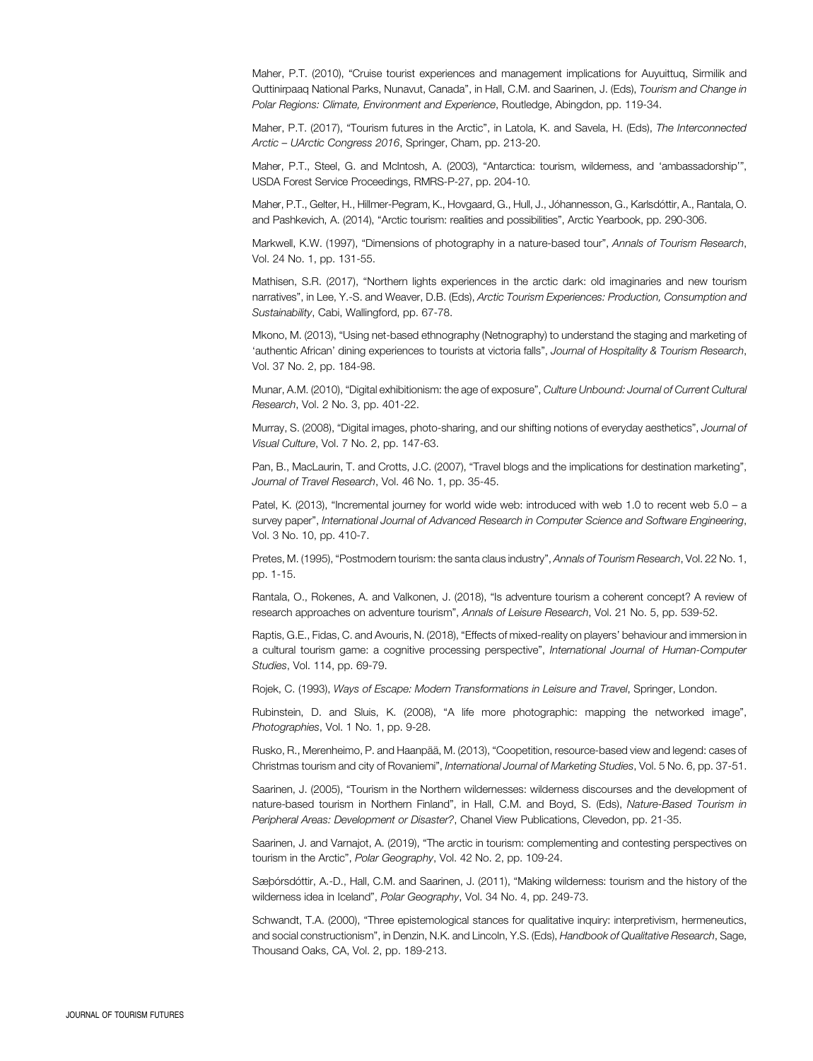Maher, P.T. (2010), "Cruise tourist experiences and management implications for Auyuittuq, Sirmilik and Quttinirpaaq National Parks, Nunavut, Canada", in Hall, C.M. and Saarinen, J. (Eds), Tourism and Change in Polar Regions: Climate, Environment and Experience, Routledge, Abingdon, pp. 119-34.

Maher, P.T. (2017), "Tourism futures in the Arctic", in Latola, K. and Savela, H. (Eds), The Interconnected Arctic – UArctic Congress 2016, Springer, Cham, pp. 213-20.

Maher, P.T., Steel, G. and McIntosh, A. (2003), "Antarctica: tourism, wilderness, and 'ambassadorship'", USDA Forest Service Proceedings, RMRS-P-27, pp. 204-10.

Maher, P.T., Gelter, H., Hillmer-Pegram, K., Hovgaard, G., Hull, J., Jóhannesson, G., Karlsdóttir, A., Rantala, O. and Pashkevich, A. (2014), "Arctic tourism: realities and possibilities", Arctic Yearbook, pp. 290-306.

Markwell, K.W. (1997), "Dimensions of photography in a nature-based tour", Annals of Tourism Research, Vol. 24 No. 1, pp. 131-55.

Mathisen, S.R. (2017), "Northern lights experiences in the arctic dark: old imaginaries and new tourism narratives", in Lee, Y.-S. and Weaver, D.B. (Eds), Arctic Tourism Experiences: Production, Consumption and Sustainability, Cabi, Wallingford, pp. 67-78.

Mkono, M. (2013), "Using net-based ethnography (Netnography) to understand the staging and marketing of 'authentic African' dining experiences to tourists at victoria falls", Journal of Hospitality & Tourism Research, Vol. 37 No. 2, pp. 184-98.

Munar, A.M. (2010), "Digital exhibitionism: the age of exposure", Culture Unbound: Journal of Current Cultural Research, Vol. 2 No. 3, pp. 401-22.

Murray, S. (2008), "Digital images, photo-sharing, and our shifting notions of everyday aesthetics", Journal of Visual Culture, Vol. 7 No. 2, pp. 147-63.

Pan, B., MacLaurin, T. and Crotts, J.C. (2007), "Travel blogs and the implications for destination marketing", Journal of Travel Research, Vol. 46 No. 1, pp. 35-45.

Patel, K. (2013), "Incremental journey for world wide web: introduced with web 1.0 to recent web 5.0 – a survey paper", International Journal of Advanced Research in Computer Science and Software Engineering, Vol. 3 No. 10, pp. 410-7.

Pretes, M. (1995), "Postmodern tourism: the santa claus industry", Annals of Tourism Research, Vol. 22 No. 1, pp. 1-15.

Rantala, O., Rokenes, A. and Valkonen, J. (2018), "Is adventure tourism a coherent concept? A review of research approaches on adventure tourism", Annals of Leisure Research, Vol. 21 No. 5, pp. 539-52.

Raptis, G.E., Fidas, C. and Avouris, N. (2018), "Effects of mixed-reality on players' behaviour and immersion in a cultural tourism game: a cognitive processing perspective", International Journal of Human-Computer Studies, Vol. 114, pp. 69-79.

Rojek, C. (1993), Ways of Escape: Modern Transformations in Leisure and Travel, Springer, London.

Rubinstein, D. and Sluis, K. (2008), "A life more photographic: mapping the networked image", Photographies, Vol. 1 No. 1, pp. 9-28.

Rusko, R., Merenheimo, P. and Haanpää, M. (2013), "Coopetition, resource-based view and legend: cases of Christmas tourism and city of Rovaniemi", International Journal of Marketing Studies, Vol. 5 No. 6, pp. 37-51.

Saarinen, J. (2005), "Tourism in the Northern wildernesses: wilderness discourses and the development of nature-based tourism in Northern Finland", in Hall, C.M. and Boyd, S. (Eds), Nature-Based Tourism in Peripheral Areas: Development or Disaster?, Chanel View Publications, Clevedon, pp. 21-35.

Saarinen, J. and Varnajot, A. (2019), "The arctic in tourism: complementing and contesting perspectives on tourism in the Arctic", Polar Geography, Vol. 42 No. 2, pp. 109-24.

Sæþórsdóttir, A.-D., Hall, C.M. and Saarinen, J. (2011), "Making wilderness: tourism and the history of the wilderness idea in Iceland", Polar Geography, Vol. 34 No. 4, pp. 249-73.

Schwandt, T.A. (2000), "Three epistemological stances for qualitative inquiry: interpretivism, hermeneutics, and social constructionism", in Denzin, N.K. and Lincoln, Y.S. (Eds), Handbook of Qualitative Research, Sage, Thousand Oaks, CA, Vol. 2, pp. 189-213.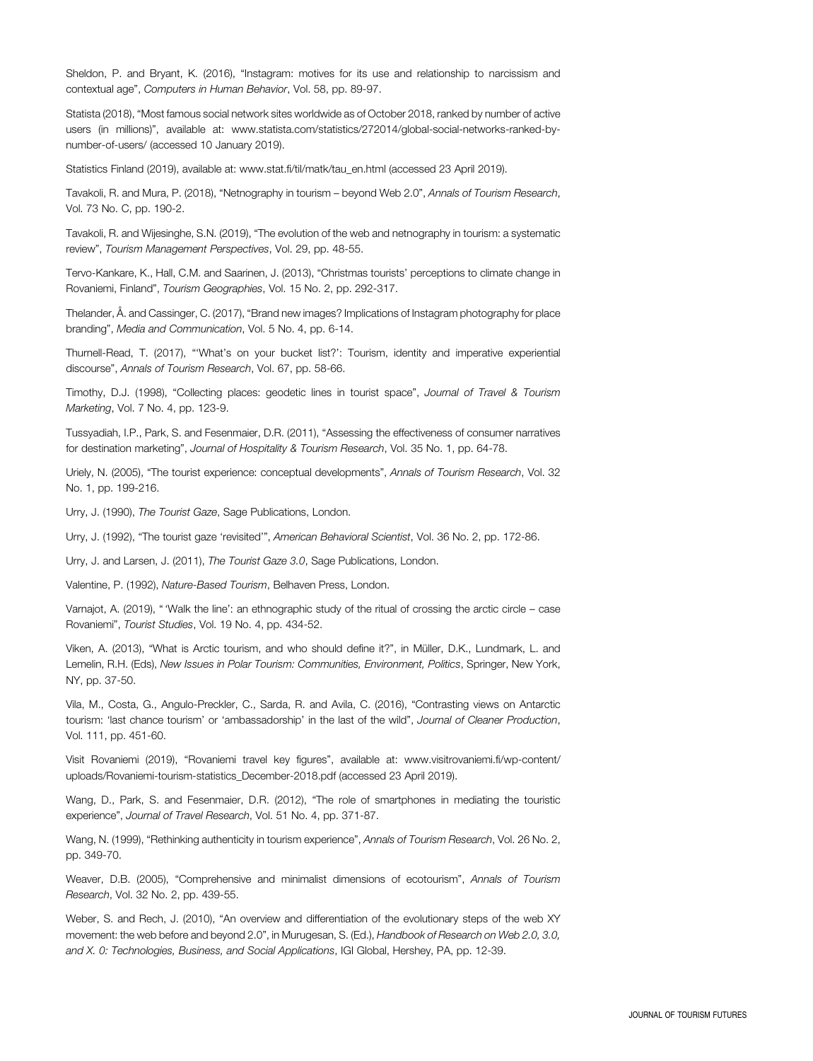Sheldon, P. and Bryant, K. (2016), "Instagram: motives for its use and relationship to narcissism and contextual age", Computers in Human Behavior, Vol. 58, pp. 89-97.

Statista (2018), "Most famous social network sites worldwide as of October 2018, ranked by number of active users (in millions)", available at: [www.statista.com/statistics/272014/global-social-networks-ranked-by](www.statista.com/statistics/272014/global-social-networks-ranked-by-number-of-users/)[number-of-users/](www.statista.com/statistics/272014/global-social-networks-ranked-by-number-of-users/) (accessed 10 January 2019).

Statistics Finland (2019), available at: [www.stat.fi/til/matk/tau\\_en.html](www.stat.fi/til/matk/tau_en.html) (accessed 23 April 2019).

Tavakoli, R. and Mura, P. (2018), "Netnography in tourism – beyond Web 2.0", Annals of Tourism Research, Vol. 73 No. C, pp. 190-2.

Tavakoli, R. and Wijesinghe, S.N. (2019), "The evolution of the web and netnography in tourism: a systematic review", Tourism Management Perspectives, Vol. 29, pp. 48-55.

Tervo-Kankare, K., Hall, C.M. and Saarinen, J. (2013), "Christmas tourists' perceptions to climate change in Rovaniemi, Finland", Tourism Geographies, Vol. 15 No. 2, pp. 292-317.

Thelander, Å. and Cassinger, C. (2017), "Brand new images? Implications of Instagram photography for place branding", Media and Communication, Vol. 5 No. 4, pp. 6-14.

Thurnell-Read, T. (2017), "'What's on your bucket list?': Tourism, identity and imperative experiential discourse", Annals of Tourism Research, Vol. 67, pp. 58-66.

Timothy, D.J. (1998), "Collecting places: geodetic lines in tourist space", Journal of Travel & Tourism Marketing, Vol. 7 No. 4, pp. 123-9.

Tussyadiah, I.P., Park, S. and Fesenmaier, D.R. (2011), "Assessing the effectiveness of consumer narratives for destination marketing", Journal of Hospitality & Tourism Research, Vol. 35 No. 1, pp. 64-78.

Uriely, N. (2005), "The tourist experience: conceptual developments", Annals of Tourism Research, Vol. 32 No. 1, pp. 199-216.

Urry, J. (1990), The Tourist Gaze, Sage Publications, London.

Urry, J. (1992), "The tourist gaze 'revisited'", American Behavioral Scientist, Vol. 36 No. 2, pp. 172-86.

Urry, J. and Larsen, J. (2011), The Tourist Gaze 3.0, Sage Publications, London.

Valentine, P. (1992), Nature-Based Tourism, Belhaven Press, London.

Varnajot, A. (2019), " 'Walk the line': an ethnographic study of the ritual of crossing the arctic circle – case Rovaniemi", Tourist Studies, Vol. 19 No. 4, pp. 434-52.

Viken, A. (2013), "What is Arctic tourism, and who should define it?", in Müller, D.K., Lundmark, L. and Lemelin, R.H. (Eds), New Issues in Polar Tourism: Communities, Environment, Politics, Springer, New York, NY, pp. 37-50.

Vila, M., Costa, G., Angulo-Preckler, C., Sarda, R. and Avila, C. (2016), "Contrasting views on Antarctic tourism: 'last chance tourism' or 'ambassadorship' in the last of the wild", Journal of Cleaner Production, Vol. 111, pp. 451-60.

Visit Rovaniemi (2019), "Rovaniemi travel key figures", available at: [www.visitrovaniemi.fi/wp-content/](www.visitrovaniemi.fi/wp-content/uploads/Rovaniemi-tourism-statistics_December-2018.pdf) [uploads/Rovaniemi-tourism-statistics\\_December-2018.pdf](www.visitrovaniemi.fi/wp-content/uploads/Rovaniemi-tourism-statistics_December-2018.pdf) (accessed 23 April 2019).

Wang, D., Park, S. and Fesenmaier, D.R. (2012), "The role of smartphones in mediating the touristic experience", Journal of Travel Research, Vol. 51 No. 4, pp. 371-87.

Wang, N. (1999), "Rethinking authenticity in tourism experience", Annals of Tourism Research, Vol. 26 No. 2, pp. 349-70.

Weaver, D.B. (2005), "Comprehensive and minimalist dimensions of ecotourism", Annals of Tourism Research, Vol. 32 No. 2, pp. 439-55.

Weber, S. and Rech, J. (2010), "An overview and differentiation of the evolutionary steps of the web XY movement: the web before and beyond 2.0", in Murugesan, S. (Ed.), Handbook of Research on Web 2.0, 3.0, and X. 0: Technologies, Business, and Social Applications, IGI Global, Hershey, PA, pp. 12-39.